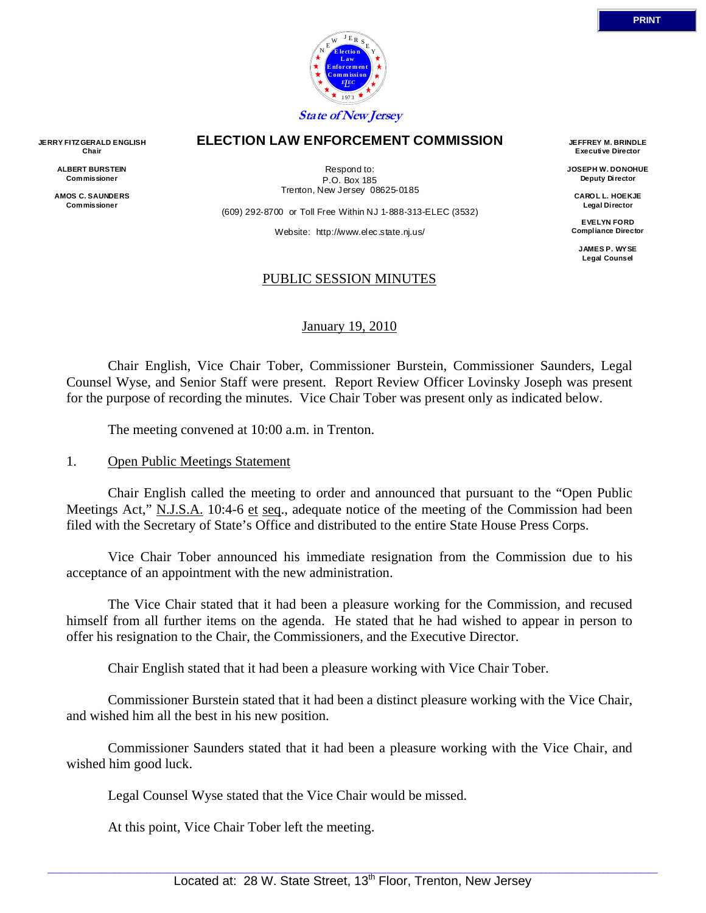

#### **ELECTION LAW ENFORCEMENT COMMISSION**

**Chair ALBERT BURSTEIN Commissioner** 

**JERRY FITZ GERALD ENGLISH** 

**AMOS C. SAUNDERS Commissioner** 

Respond to: P.O. Box 185 Trenton, New Jersey 08625-0185

(609) 292-8700 or Toll Free Within NJ 1-888-313-ELEC (3532)

Website: http://www.elec.state.nj.us/

#### PUBLIC SESSION MINUTES

#### January 19, 2010

 Chair English, Vice Chair Tober, Commissioner Burstein, Commissioner Saunders, Legal Counsel Wyse, and Senior Staff were present. Report Review Officer Lovinsky Joseph was present for the purpose of recording the minutes. Vice Chair Tober was present only as indicated below.

The meeting convened at 10:00 a.m. in Trenton.

#### 1. Open Public Meetings Statement

 Chair English called the meeting to order and announced that pursuant to the "Open Public Meetings Act," N.J.S.A. 10:4-6 et seq., adequate notice of the meeting of the Commission had been filed with the Secretary of State's Office and distributed to the entire State House Press Corps.

 Vice Chair Tober announced his immediate resignation from the Commission due to his acceptance of an appointment with the new administration.

 The Vice Chair stated that it had been a pleasure working for the Commission, and recused himself from all further items on the agenda. He stated that he had wished to appear in person to offer his resignation to the Chair, the Commissioners, and the Executive Director.

Chair English stated that it had been a pleasure working with Vice Chair Tober.

 Commissioner Burstein stated that it had been a distinct pleasure working with the Vice Chair, and wished him all the best in his new position.

 Commissioner Saunders stated that it had been a pleasure working with the Vice Chair, and wished him good luck.

Legal Counsel Wyse stated that the Vice Chair would be missed.

At this point, Vice Chair Tober left the meeting.

**JEFFREY M. BRINDLE Executive Director JOSEPH W. DONOHUE Deputy Director CAROL L. HOEKJE Legal Director EVELYN FORD Compliance Director JAMES P. WYSE Legal Counsel**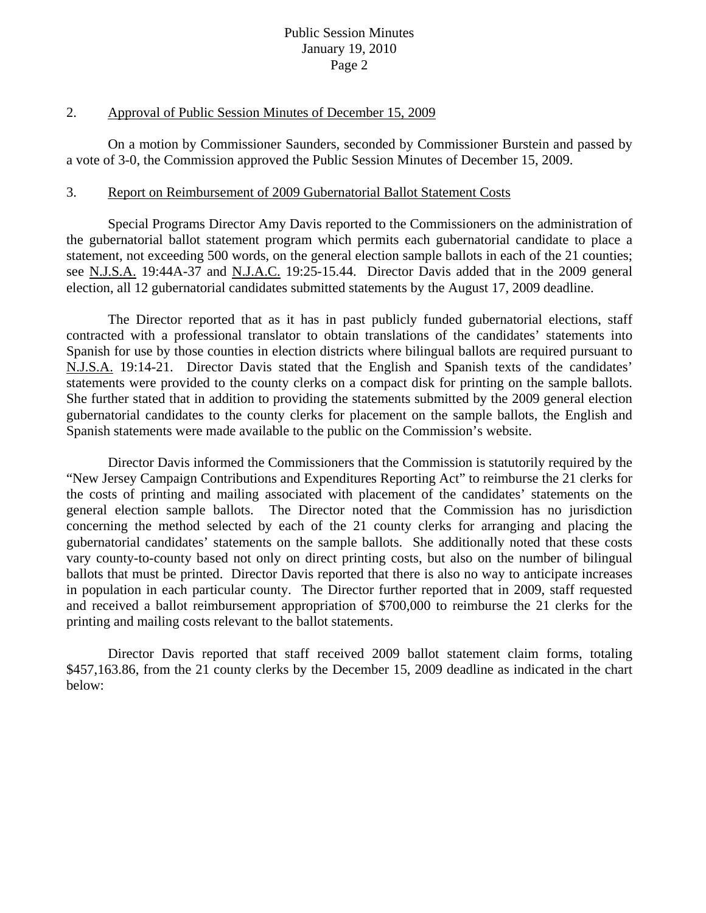#### 2. Approval of Public Session Minutes of December 15, 2009

 On a motion by Commissioner Saunders, seconded by Commissioner Burstein and passed by a vote of 3-0, the Commission approved the Public Session Minutes of December 15, 2009.

#### 3. Report on Reimbursement of 2009 Gubernatorial Ballot Statement Costs

 Special Programs Director Amy Davis reported to the Commissioners on the administration of the gubernatorial ballot statement program which permits each gubernatorial candidate to place a statement, not exceeding 500 words, on the general election sample ballots in each of the 21 counties; see N.J.S.A. 19:44A-37 and N.J.A.C. 19:25-15.44. Director Davis added that in the 2009 general election, all 12 gubernatorial candidates submitted statements by the August 17, 2009 deadline.

 The Director reported that as it has in past publicly funded gubernatorial elections, staff contracted with a professional translator to obtain translations of the candidates' statements into Spanish for use by those counties in election districts where bilingual ballots are required pursuant to N.J.S.A. 19:14-21. Director Davis stated that the English and Spanish texts of the candidates' statements were provided to the county clerks on a compact disk for printing on the sample ballots. She further stated that in addition to providing the statements submitted by the 2009 general election gubernatorial candidates to the county clerks for placement on the sample ballots, the English and Spanish statements were made available to the public on the Commission's website.

 Director Davis informed the Commissioners that the Commission is statutorily required by the "New Jersey Campaign Contributions and Expenditures Reporting Act" to reimburse the 21 clerks for the costs of printing and mailing associated with placement of the candidates' statements on the general election sample ballots. The Director noted that the Commission has no jurisdiction concerning the method selected by each of the 21 county clerks for arranging and placing the gubernatorial candidates' statements on the sample ballots. She additionally noted that these costs vary county-to-county based not only on direct printing costs, but also on the number of bilingual ballots that must be printed. Director Davis reported that there is also no way to anticipate increases in population in each particular county. The Director further reported that in 2009, staff requested and received a ballot reimbursement appropriation of \$700,000 to reimburse the 21 clerks for the printing and mailing costs relevant to the ballot statements.

 Director Davis reported that staff received 2009 ballot statement claim forms, totaling \$457,163.86, from the 21 county clerks by the December 15, 2009 deadline as indicated in the chart below: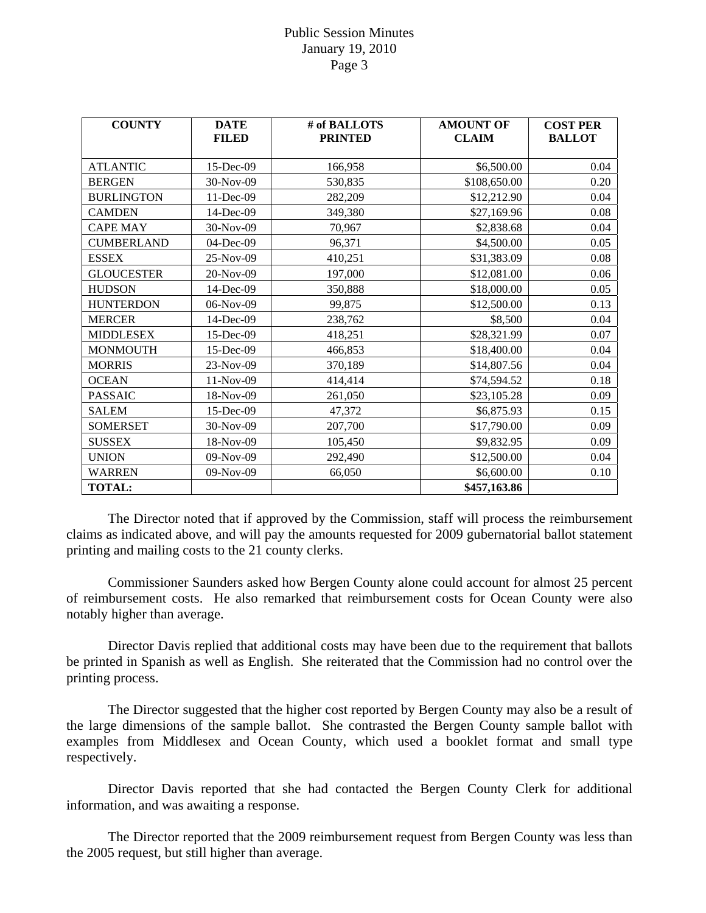| <b>COUNTY</b>     | <b>DATE</b><br><b>FILED</b> | # of BALLOTS<br><b>PRINTED</b> | <b>AMOUNT OF</b><br><b>CLAIM</b> | <b>COST PER</b><br><b>BALLOT</b> |
|-------------------|-----------------------------|--------------------------------|----------------------------------|----------------------------------|
|                   |                             |                                |                                  |                                  |
| <b>ATLANTIC</b>   | 15-Dec-09                   | 166,958                        | \$6,500.00                       | 0.04                             |
| <b>BERGEN</b>     | 30-Nov-09                   | 530,835                        | \$108,650.00                     | 0.20                             |
| <b>BURLINGTON</b> | 11-Dec-09                   | 282,209                        | \$12,212.90                      | 0.04                             |
| <b>CAMDEN</b>     | 14-Dec-09                   | 349,380                        | \$27,169.96                      | 0.08                             |
| <b>CAPE MAY</b>   | 30-Nov-09                   | 70,967                         | \$2,838.68                       | 0.04                             |
| <b>CUMBERLAND</b> | 04-Dec-09                   | 96,371                         | \$4,500.00                       | 0.05                             |
| <b>ESSEX</b>      | 25-Nov-09                   | 410,251                        | \$31,383.09                      | 0.08                             |
| <b>GLOUCESTER</b> | 20-Nov-09                   | 197,000                        | \$12,081.00                      | 0.06                             |
| <b>HUDSON</b>     | 14-Dec-09                   | 350,888                        | \$18,000.00                      | 0.05                             |
| <b>HUNTERDON</b>  | 06-Nov-09                   | 99,875                         | \$12,500.00                      | 0.13                             |
| <b>MERCER</b>     | 14-Dec-09                   | 238,762                        | \$8,500                          | 0.04                             |
| <b>MIDDLESEX</b>  | 15-Dec-09                   | 418,251                        | \$28,321.99                      | 0.07                             |
| <b>MONMOUTH</b>   | 15-Dec-09                   | 466,853                        | \$18,400.00                      | 0.04                             |
| <b>MORRIS</b>     | 23-Nov-09                   | 370,189                        | \$14,807.56                      | 0.04                             |
| <b>OCEAN</b>      | 11-Nov-09                   | 414,414                        | \$74,594.52                      | 0.18                             |
| <b>PASSAIC</b>    | 18-Nov-09                   | 261,050                        | \$23,105.28                      | 0.09                             |
| <b>SALEM</b>      | 15-Dec-09                   | 47,372                         | \$6,875.93                       | 0.15                             |
| <b>SOMERSET</b>   | 30-Nov-09                   | 207,700                        | \$17,790.00                      | 0.09                             |
| <b>SUSSEX</b>     | 18-Nov-09                   | 105,450                        | \$9,832.95                       | 0.09                             |
| <b>UNION</b>      | 09-Nov-09                   | 292,490                        | \$12,500.00                      | 0.04                             |
| <b>WARREN</b>     | 09-Nov-09                   | 66,050                         | \$6,600.00                       | 0.10                             |
| <b>TOTAL:</b>     |                             |                                | \$457,163.86                     |                                  |

 The Director noted that if approved by the Commission, staff will process the reimbursement claims as indicated above, and will pay the amounts requested for 2009 gubernatorial ballot statement printing and mailing costs to the 21 county clerks.

 Commissioner Saunders asked how Bergen County alone could account for almost 25 percent of reimbursement costs. He also remarked that reimbursement costs for Ocean County were also notably higher than average.

 Director Davis replied that additional costs may have been due to the requirement that ballots be printed in Spanish as well as English. She reiterated that the Commission had no control over the printing process.

 The Director suggested that the higher cost reported by Bergen County may also be a result of the large dimensions of the sample ballot. She contrasted the Bergen County sample ballot with examples from Middlesex and Ocean County, which used a booklet format and small type respectively.

 Director Davis reported that she had contacted the Bergen County Clerk for additional information, and was awaiting a response.

 The Director reported that the 2009 reimbursement request from Bergen County was less than the 2005 request, but still higher than average.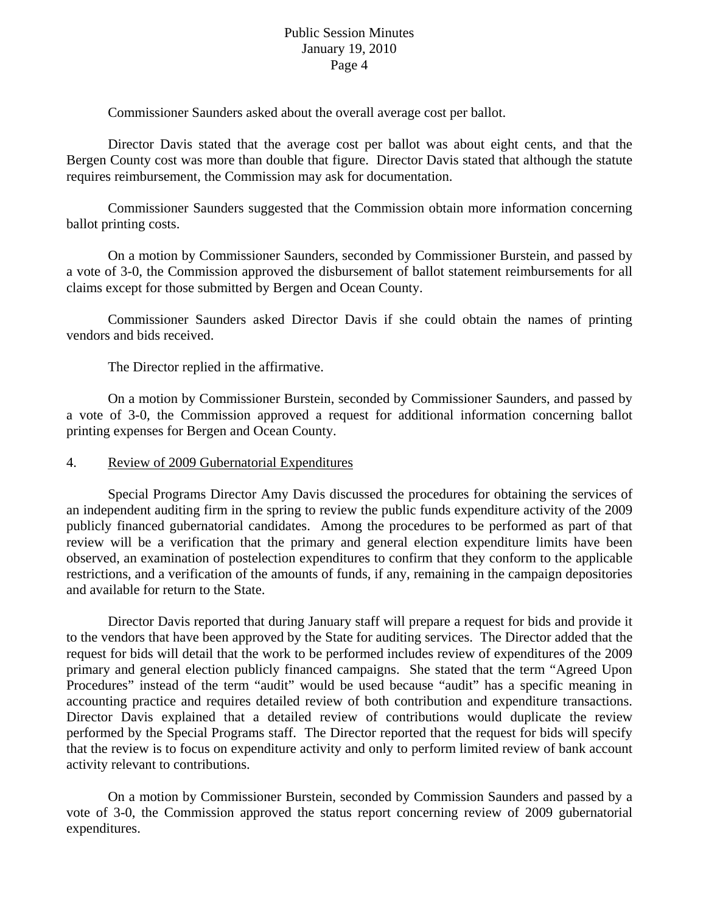Commissioner Saunders asked about the overall average cost per ballot.

 Director Davis stated that the average cost per ballot was about eight cents, and that the Bergen County cost was more than double that figure. Director Davis stated that although the statute requires reimbursement, the Commission may ask for documentation.

 Commissioner Saunders suggested that the Commission obtain more information concerning ballot printing costs.

 On a motion by Commissioner Saunders, seconded by Commissioner Burstein, and passed by a vote of 3-0, the Commission approved the disbursement of ballot statement reimbursements for all claims except for those submitted by Bergen and Ocean County.

 Commissioner Saunders asked Director Davis if she could obtain the names of printing vendors and bids received.

The Director replied in the affirmative.

 On a motion by Commissioner Burstein, seconded by Commissioner Saunders, and passed by a vote of 3-0, the Commission approved a request for additional information concerning ballot printing expenses for Bergen and Ocean County.

#### 4. Review of 2009 Gubernatorial Expenditures

 Special Programs Director Amy Davis discussed the procedures for obtaining the services of an independent auditing firm in the spring to review the public funds expenditure activity of the 2009 publicly financed gubernatorial candidates. Among the procedures to be performed as part of that review will be a verification that the primary and general election expenditure limits have been observed, an examination of postelection expenditures to confirm that they conform to the applicable restrictions, and a verification of the amounts of funds, if any, remaining in the campaign depositories and available for return to the State.

 Director Davis reported that during January staff will prepare a request for bids and provide it to the vendors that have been approved by the State for auditing services. The Director added that the request for bids will detail that the work to be performed includes review of expenditures of the 2009 primary and general election publicly financed campaigns. She stated that the term "Agreed Upon Procedures" instead of the term "audit" would be used because "audit" has a specific meaning in accounting practice and requires detailed review of both contribution and expenditure transactions. Director Davis explained that a detailed review of contributions would duplicate the review performed by the Special Programs staff. The Director reported that the request for bids will specify that the review is to focus on expenditure activity and only to perform limited review of bank account activity relevant to contributions.

 On a motion by Commissioner Burstein, seconded by Commission Saunders and passed by a vote of 3-0, the Commission approved the status report concerning review of 2009 gubernatorial expenditures.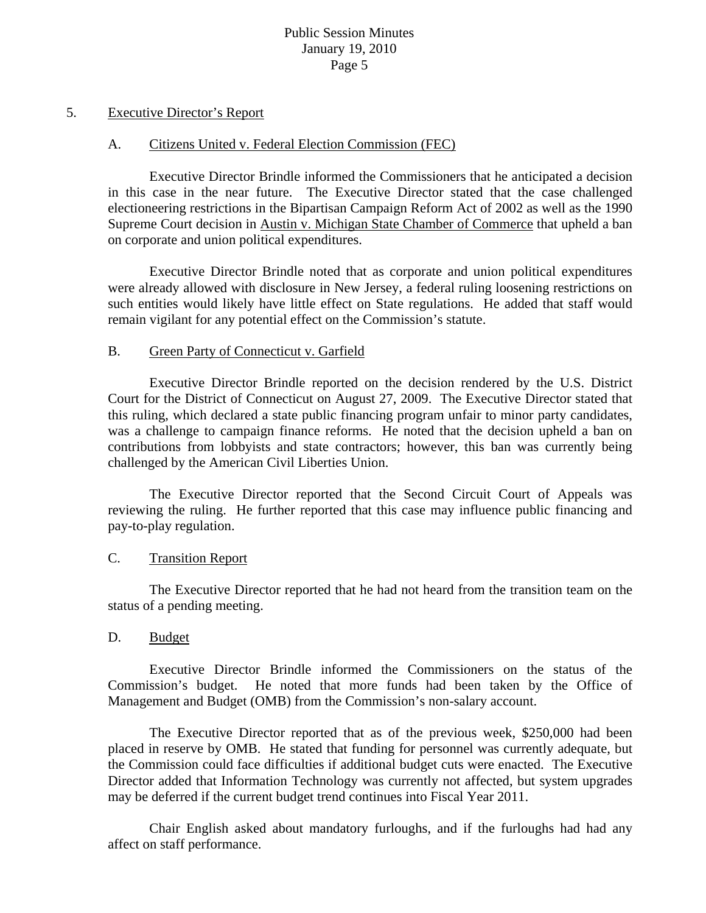#### 5. Executive Director's Report

#### A. Citizens United v. Federal Election Commission (FEC)

 Executive Director Brindle informed the Commissioners that he anticipated a decision in this case in the near future. The Executive Director stated that the case challenged electioneering restrictions in the Bipartisan Campaign Reform Act of 2002 as well as the 1990 Supreme Court decision in Austin v. Michigan State Chamber of Commerce that upheld a ban on corporate and union political expenditures.

 Executive Director Brindle noted that as corporate and union political expenditures were already allowed with disclosure in New Jersey, a federal ruling loosening restrictions on such entities would likely have little effect on State regulations. He added that staff would remain vigilant for any potential effect on the Commission's statute.

#### B. Green Party of Connecticut v. Garfield

 Executive Director Brindle reported on the decision rendered by the U.S. District Court for the District of Connecticut on August 27, 2009. The Executive Director stated that this ruling, which declared a state public financing program unfair to minor party candidates, was a challenge to campaign finance reforms. He noted that the decision upheld a ban on contributions from lobbyists and state contractors; however, this ban was currently being challenged by the American Civil Liberties Union.

 The Executive Director reported that the Second Circuit Court of Appeals was reviewing the ruling. He further reported that this case may influence public financing and pay-to-play regulation.

#### C. Transition Report

 The Executive Director reported that he had not heard from the transition team on the status of a pending meeting.

### D. Budget

 Executive Director Brindle informed the Commissioners on the status of the Commission's budget. He noted that more funds had been taken by the Office of Management and Budget (OMB) from the Commission's non-salary account.

 The Executive Director reported that as of the previous week, \$250,000 had been placed in reserve by OMB. He stated that funding for personnel was currently adequate, but the Commission could face difficulties if additional budget cuts were enacted. The Executive Director added that Information Technology was currently not affected, but system upgrades may be deferred if the current budget trend continues into Fiscal Year 2011.

 Chair English asked about mandatory furloughs, and if the furloughs had had any affect on staff performance.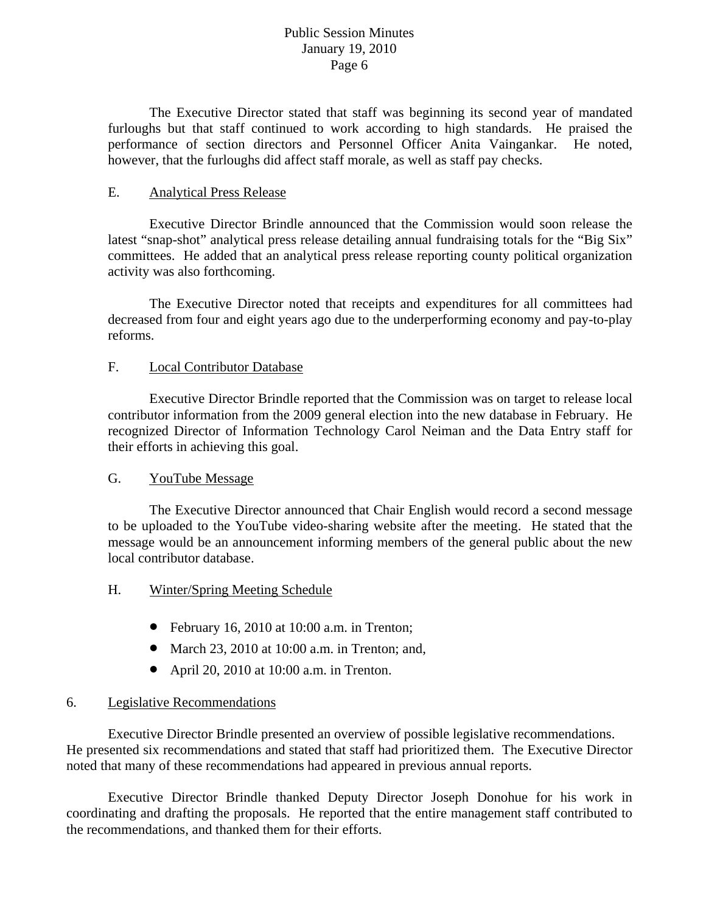The Executive Director stated that staff was beginning its second year of mandated furloughs but that staff continued to work according to high standards. He praised the performance of section directors and Personnel Officer Anita Vaingankar. He noted, however, that the furloughs did affect staff morale, as well as staff pay checks.

# E. Analytical Press Release

 Executive Director Brindle announced that the Commission would soon release the latest "snap-shot" analytical press release detailing annual fundraising totals for the "Big Six" committees. He added that an analytical press release reporting county political organization activity was also forthcoming.

 The Executive Director noted that receipts and expenditures for all committees had decreased from four and eight years ago due to the underperforming economy and pay-to-play reforms.

# F. Local Contributor Database

 Executive Director Brindle reported that the Commission was on target to release local contributor information from the 2009 general election into the new database in February. He recognized Director of Information Technology Carol Neiman and the Data Entry staff for their efforts in achieving this goal.

### G. YouTube Message

 The Executive Director announced that Chair English would record a second message to be uploaded to the YouTube video-sharing website after the meeting. He stated that the message would be an announcement informing members of the general public about the new local contributor database.

### H. Winter/Spring Meeting Schedule

- February 16, 2010 at 10:00 a.m. in Trenton;
- March 23, 2010 at 10:00 a.m. in Trenton; and,
- April 20, 2010 at 10:00 a.m. in Trenton.

# 6. Legislative Recommendations

 Executive Director Brindle presented an overview of possible legislative recommendations. He presented six recommendations and stated that staff had prioritized them. The Executive Director noted that many of these recommendations had appeared in previous annual reports.

 Executive Director Brindle thanked Deputy Director Joseph Donohue for his work in coordinating and drafting the proposals. He reported that the entire management staff contributed to the recommendations, and thanked them for their efforts.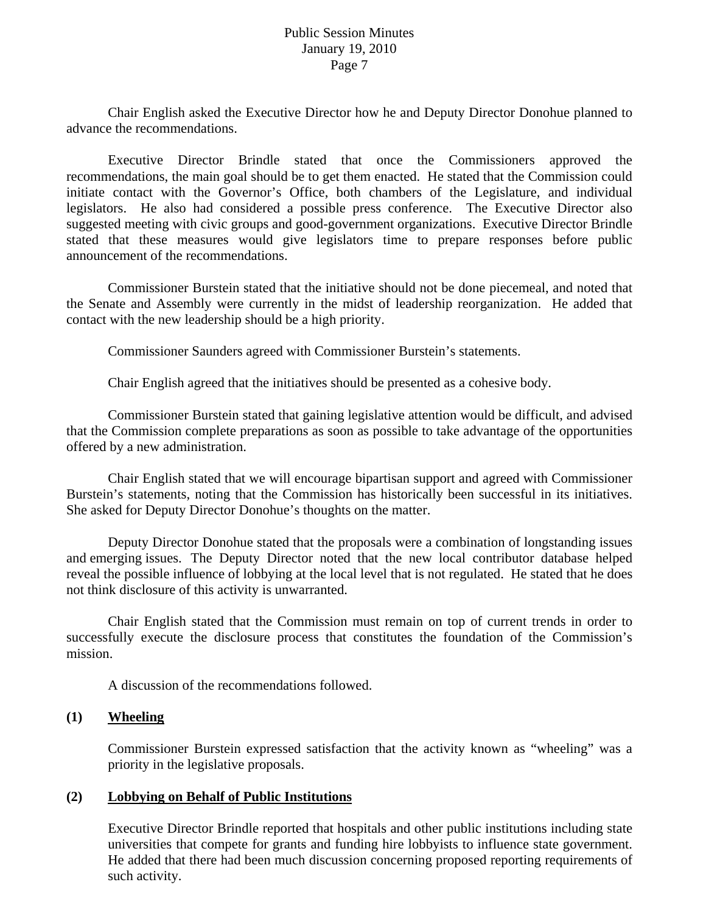Chair English asked the Executive Director how he and Deputy Director Donohue planned to advance the recommendations.

 Executive Director Brindle stated that once the Commissioners approved the recommendations, the main goal should be to get them enacted. He stated that the Commission could initiate contact with the Governor's Office, both chambers of the Legislature, and individual legislators. He also had considered a possible press conference. The Executive Director also suggested meeting with civic groups and good-government organizations. Executive Director Brindle stated that these measures would give legislators time to prepare responses before public announcement of the recommendations.

 Commissioner Burstein stated that the initiative should not be done piecemeal, and noted that the Senate and Assembly were currently in the midst of leadership reorganization. He added that contact with the new leadership should be a high priority.

Commissioner Saunders agreed with Commissioner Burstein's statements.

Chair English agreed that the initiatives should be presented as a cohesive body.

 Commissioner Burstein stated that gaining legislative attention would be difficult, and advised that the Commission complete preparations as soon as possible to take advantage of the opportunities offered by a new administration.

 Chair English stated that we will encourage bipartisan support and agreed with Commissioner Burstein's statements, noting that the Commission has historically been successful in its initiatives. She asked for Deputy Director Donohue's thoughts on the matter.

 Deputy Director Donohue stated that the proposals were a combination of longstanding issues and emerging issues. The Deputy Director noted that the new local contributor database helped reveal the possible influence of lobbying at the local level that is not regulated. He stated that he does not think disclosure of this activity is unwarranted.

 Chair English stated that the Commission must remain on top of current trends in order to successfully execute the disclosure process that constitutes the foundation of the Commission's mission.

A discussion of the recommendations followed.

### **(1) Wheeling**

 Commissioner Burstein expressed satisfaction that the activity known as "wheeling" was a priority in the legislative proposals.

#### **(2) Lobbying on Behalf of Public Institutions**

 Executive Director Brindle reported that hospitals and other public institutions including state universities that compete for grants and funding hire lobbyists to influence state government. He added that there had been much discussion concerning proposed reporting requirements of such activity.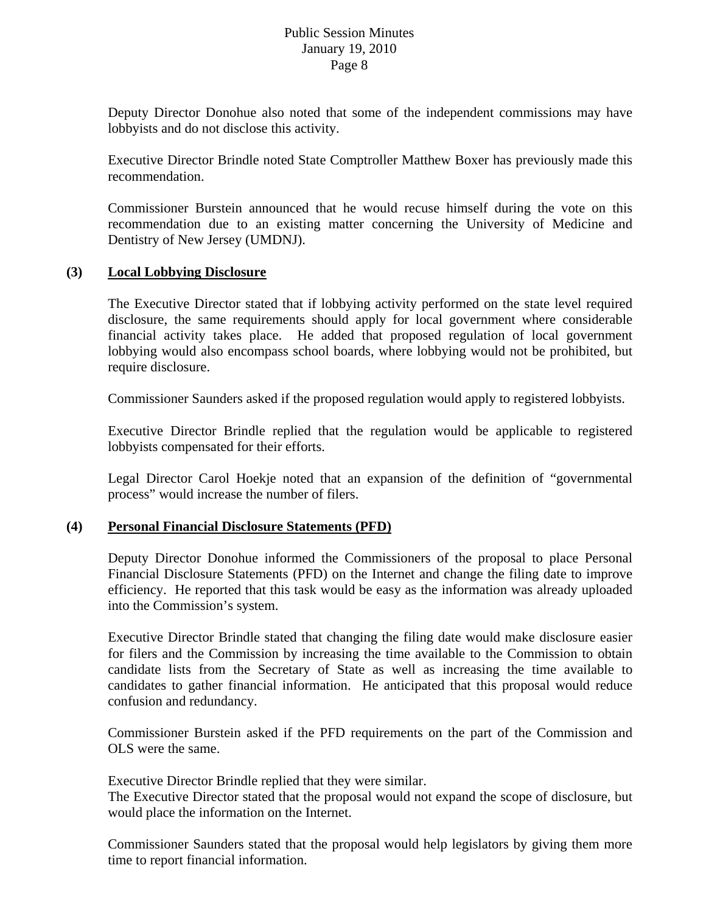Deputy Director Donohue also noted that some of the independent commissions may have lobbyists and do not disclose this activity.

 Executive Director Brindle noted State Comptroller Matthew Boxer has previously made this recommendation.

 Commissioner Burstein announced that he would recuse himself during the vote on this recommendation due to an existing matter concerning the University of Medicine and Dentistry of New Jersey (UMDNJ).

### **(3) Local Lobbying Disclosure**

 The Executive Director stated that if lobbying activity performed on the state level required disclosure, the same requirements should apply for local government where considerable financial activity takes place. He added that proposed regulation of local government lobbying would also encompass school boards, where lobbying would not be prohibited, but require disclosure.

Commissioner Saunders asked if the proposed regulation would apply to registered lobbyists.

 Executive Director Brindle replied that the regulation would be applicable to registered lobbyists compensated for their efforts.

 Legal Director Carol Hoekje noted that an expansion of the definition of "governmental process" would increase the number of filers.

### **(4) Personal Financial Disclosure Statements (PFD)**

 Deputy Director Donohue informed the Commissioners of the proposal to place Personal Financial Disclosure Statements (PFD) on the Internet and change the filing date to improve efficiency. He reported that this task would be easy as the information was already uploaded into the Commission's system.

 Executive Director Brindle stated that changing the filing date would make disclosure easier for filers and the Commission by increasing the time available to the Commission to obtain candidate lists from the Secretary of State as well as increasing the time available to candidates to gather financial information. He anticipated that this proposal would reduce confusion and redundancy.

 Commissioner Burstein asked if the PFD requirements on the part of the Commission and OLS were the same.

Executive Director Brindle replied that they were similar.

 The Executive Director stated that the proposal would not expand the scope of disclosure, but would place the information on the Internet.

 Commissioner Saunders stated that the proposal would help legislators by giving them more time to report financial information.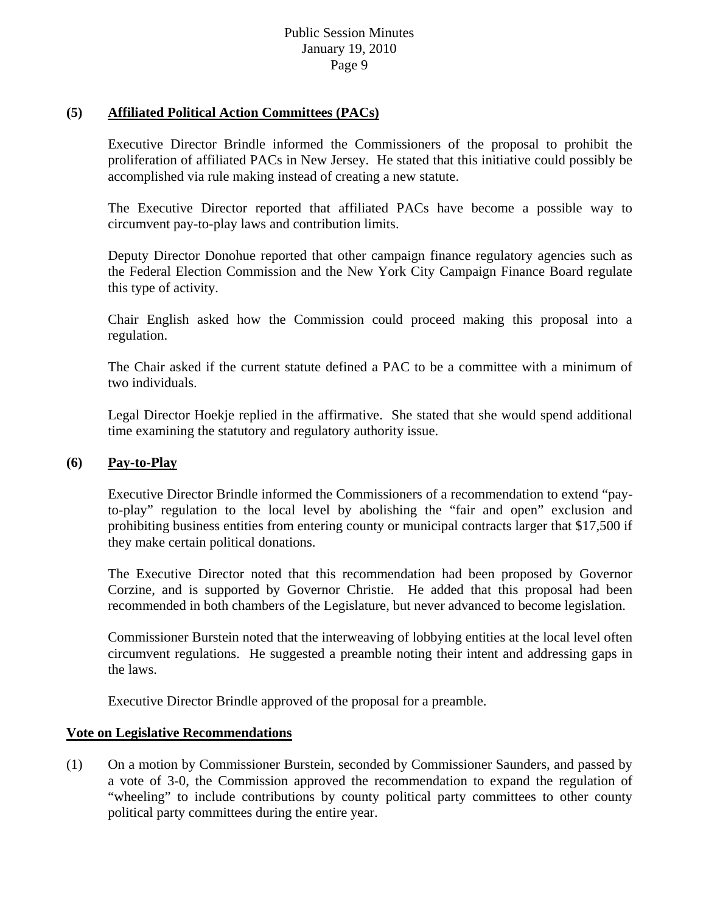## **(5) Affiliated Political Action Committees (PACs)**

 Executive Director Brindle informed the Commissioners of the proposal to prohibit the proliferation of affiliated PACs in New Jersey. He stated that this initiative could possibly be accomplished via rule making instead of creating a new statute.

 The Executive Director reported that affiliated PACs have become a possible way to circumvent pay-to-play laws and contribution limits.

 Deputy Director Donohue reported that other campaign finance regulatory agencies such as the Federal Election Commission and the New York City Campaign Finance Board regulate this type of activity.

 Chair English asked how the Commission could proceed making this proposal into a regulation.

 The Chair asked if the current statute defined a PAC to be a committee with a minimum of two individuals.

 Legal Director Hoekje replied in the affirmative. She stated that she would spend additional time examining the statutory and regulatory authority issue.

## **(6) Pay-to-Play**

 Executive Director Brindle informed the Commissioners of a recommendation to extend "payto-play" regulation to the local level by abolishing the "fair and open" exclusion and prohibiting business entities from entering county or municipal contracts larger that \$17,500 if they make certain political donations.

 The Executive Director noted that this recommendation had been proposed by Governor Corzine, and is supported by Governor Christie. He added that this proposal had been recommended in both chambers of the Legislature, but never advanced to become legislation.

 Commissioner Burstein noted that the interweaving of lobbying entities at the local level often circumvent regulations. He suggested a preamble noting their intent and addressing gaps in the laws.

Executive Director Brindle approved of the proposal for a preamble.

### **Vote on Legislative Recommendations**

(1) On a motion by Commissioner Burstein, seconded by Commissioner Saunders, and passed by a vote of 3-0, the Commission approved the recommendation to expand the regulation of "wheeling" to include contributions by county political party committees to other county political party committees during the entire year.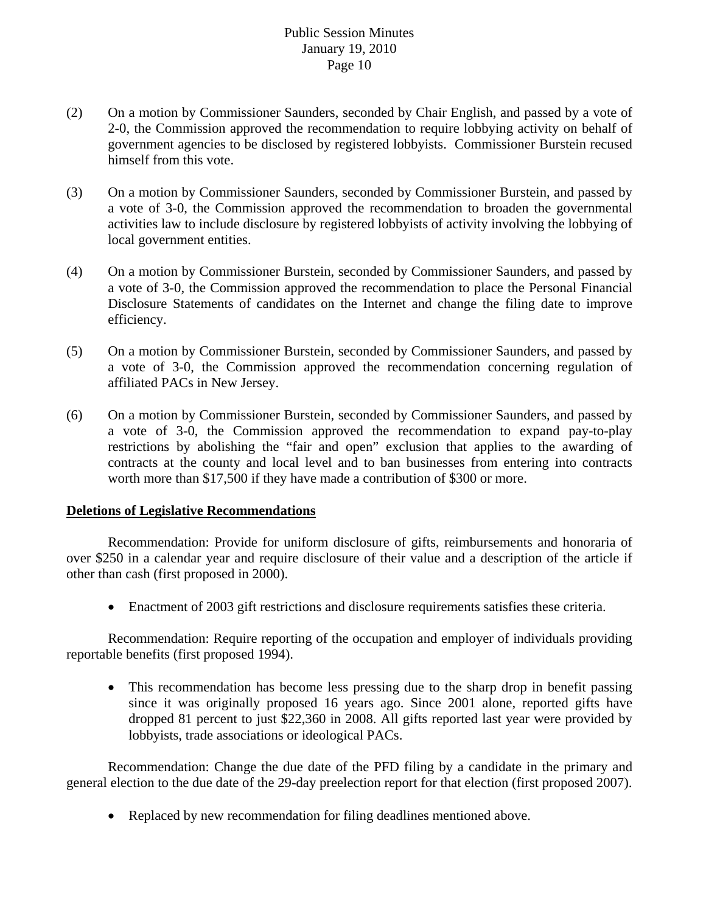- (2) On a motion by Commissioner Saunders, seconded by Chair English, and passed by a vote of 2-0, the Commission approved the recommendation to require lobbying activity on behalf of government agencies to be disclosed by registered lobbyists. Commissioner Burstein recused himself from this vote.
- (3) On a motion by Commissioner Saunders, seconded by Commissioner Burstein, and passed by a vote of 3-0, the Commission approved the recommendation to broaden the governmental activities law to include disclosure by registered lobbyists of activity involving the lobbying of local government entities.
- (4) On a motion by Commissioner Burstein, seconded by Commissioner Saunders, and passed by a vote of 3-0, the Commission approved the recommendation to place the Personal Financial Disclosure Statements of candidates on the Internet and change the filing date to improve efficiency.
- (5) On a motion by Commissioner Burstein, seconded by Commissioner Saunders, and passed by a vote of 3-0, the Commission approved the recommendation concerning regulation of affiliated PACs in New Jersey.
- (6) On a motion by Commissioner Burstein, seconded by Commissioner Saunders, and passed by a vote of 3-0, the Commission approved the recommendation to expand pay-to-play restrictions by abolishing the "fair and open" exclusion that applies to the awarding of contracts at the county and local level and to ban businesses from entering into contracts worth more than \$17,500 if they have made a contribution of \$300 or more.

### **Deletions of Legislative Recommendations**

 Recommendation: Provide for uniform disclosure of gifts, reimbursements and honoraria of over \$250 in a calendar year and require disclosure of their value and a description of the article if other than cash (first proposed in 2000).

• Enactment of 2003 gift restrictions and disclosure requirements satisfies these criteria.

 Recommendation: Require reporting of the occupation and employer of individuals providing reportable benefits (first proposed 1994).

• This recommendation has become less pressing due to the sharp drop in benefit passing since it was originally proposed 16 years ago. Since 2001 alone, reported gifts have dropped 81 percent to just \$22,360 in 2008. All gifts reported last year were provided by lobbyists, trade associations or ideological PACs.

 Recommendation: Change the due date of the PFD filing by a candidate in the primary and general election to the due date of the 29-day preelection report for that election (first proposed 2007).

• Replaced by new recommendation for filing deadlines mentioned above.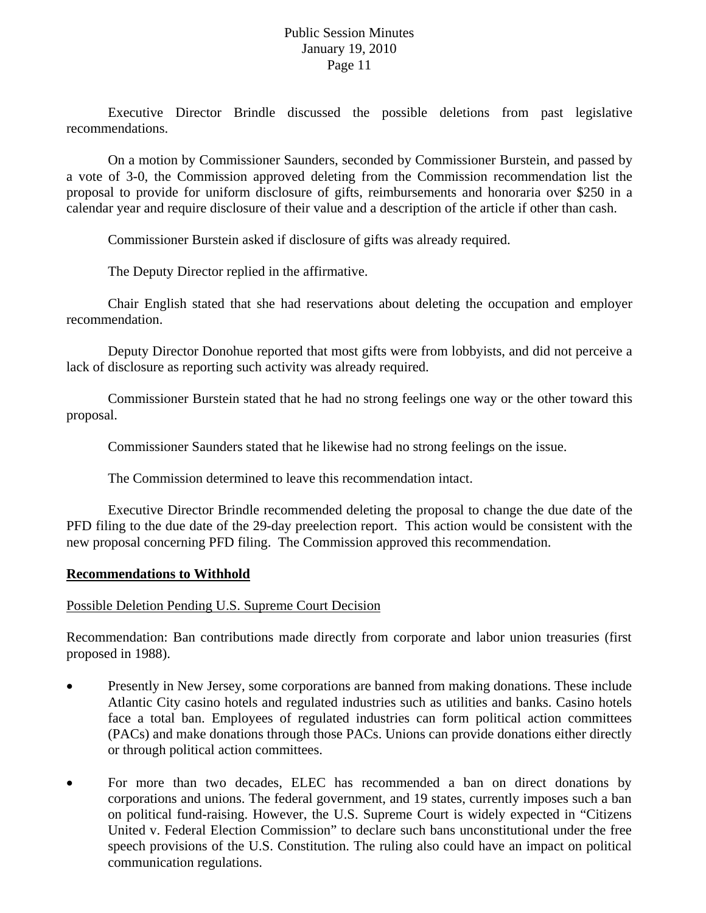Executive Director Brindle discussed the possible deletions from past legislative recommendations.

 On a motion by Commissioner Saunders, seconded by Commissioner Burstein, and passed by a vote of 3-0, the Commission approved deleting from the Commission recommendation list the proposal to provide for uniform disclosure of gifts, reimbursements and honoraria over \$250 in a calendar year and require disclosure of their value and a description of the article if other than cash.

Commissioner Burstein asked if disclosure of gifts was already required.

The Deputy Director replied in the affirmative.

 Chair English stated that she had reservations about deleting the occupation and employer recommendation.

 Deputy Director Donohue reported that most gifts were from lobbyists, and did not perceive a lack of disclosure as reporting such activity was already required.

 Commissioner Burstein stated that he had no strong feelings one way or the other toward this proposal.

Commissioner Saunders stated that he likewise had no strong feelings on the issue.

The Commission determined to leave this recommendation intact.

 Executive Director Brindle recommended deleting the proposal to change the due date of the PFD filing to the due date of the 29-day preelection report. This action would be consistent with the new proposal concerning PFD filing. The Commission approved this recommendation.

#### **Recommendations to Withhold**

### Possible Deletion Pending U.S. Supreme Court Decision

Recommendation: Ban contributions made directly from corporate and labor union treasuries (first proposed in 1988).

- Presently in New Jersey, some corporations are banned from making donations. These include Atlantic City casino hotels and regulated industries such as utilities and banks. Casino hotels face a total ban. Employees of regulated industries can form political action committees (PACs) and make donations through those PACs. Unions can provide donations either directly or through political action committees.
- For more than two decades, ELEC has recommended a ban on direct donations by corporations and unions. The federal government, and 19 states, currently imposes such a ban on political fund-raising. However, the U.S. Supreme Court is widely expected in "Citizens United v. Federal Election Commission" to declare such bans unconstitutional under the free speech provisions of the U.S. Constitution. The ruling also could have an impact on political communication regulations.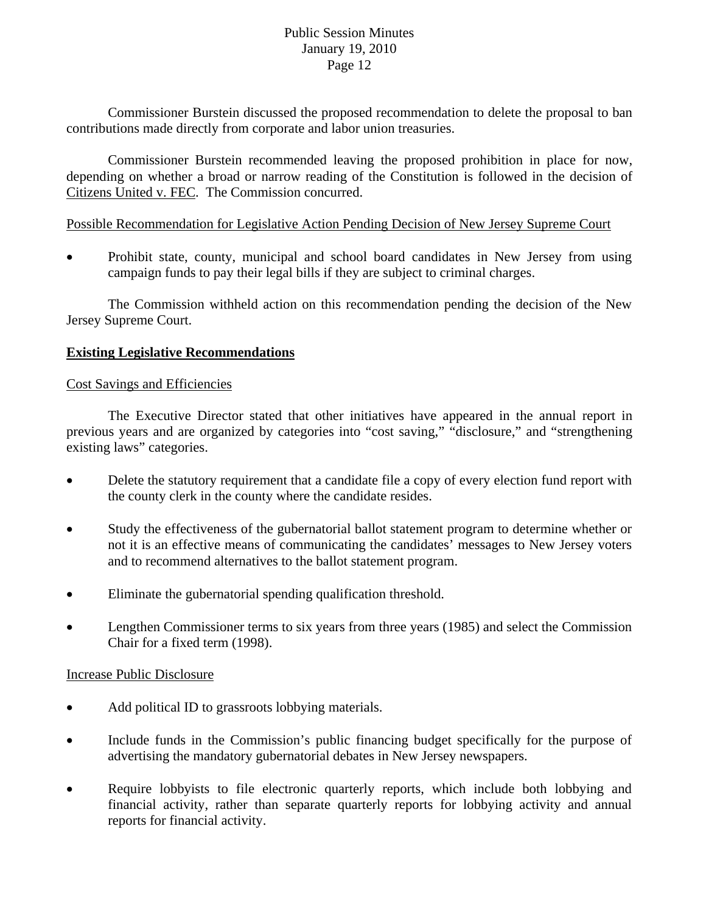Commissioner Burstein discussed the proposed recommendation to delete the proposal to ban contributions made directly from corporate and labor union treasuries.

 Commissioner Burstein recommended leaving the proposed prohibition in place for now, depending on whether a broad or narrow reading of the Constitution is followed in the decision of Citizens United v. FEC. The Commission concurred.

## Possible Recommendation for Legislative Action Pending Decision of New Jersey Supreme Court

• Prohibit state, county, municipal and school board candidates in New Jersey from using campaign funds to pay their legal bills if they are subject to criminal charges.

 The Commission withheld action on this recommendation pending the decision of the New Jersey Supreme Court.

# **Existing Legislative Recommendations**

### Cost Savings and Efficiencies

 The Executive Director stated that other initiatives have appeared in the annual report in previous years and are organized by categories into "cost saving," "disclosure," and "strengthening existing laws" categories.

- Delete the statutory requirement that a candidate file a copy of every election fund report with the county clerk in the county where the candidate resides.
- Study the effectiveness of the gubernatorial ballot statement program to determine whether or not it is an effective means of communicating the candidates' messages to New Jersey voters and to recommend alternatives to the ballot statement program.
- Eliminate the gubernatorial spending qualification threshold.
- Lengthen Commissioner terms to six years from three years (1985) and select the Commission Chair for a fixed term (1998).

### Increase Public Disclosure

- Add political ID to grassroots lobbying materials.
- Include funds in the Commission's public financing budget specifically for the purpose of advertising the mandatory gubernatorial debates in New Jersey newspapers.
- Require lobbyists to file electronic quarterly reports, which include both lobbying and financial activity, rather than separate quarterly reports for lobbying activity and annual reports for financial activity.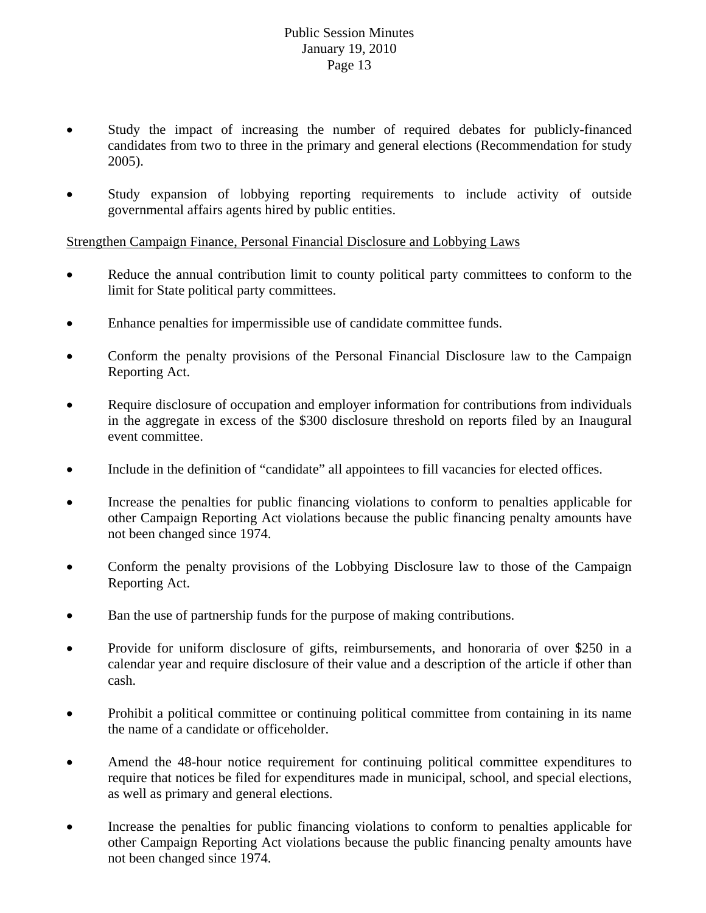- Study the impact of increasing the number of required debates for publicly-financed candidates from two to three in the primary and general elections (Recommendation for study 2005).
- Study expansion of lobbying reporting requirements to include activity of outside governmental affairs agents hired by public entities.

Strengthen Campaign Finance, Personal Financial Disclosure and Lobbying Laws

- Reduce the annual contribution limit to county political party committees to conform to the limit for State political party committees.
- Enhance penalties for impermissible use of candidate committee funds.
- Conform the penalty provisions of the Personal Financial Disclosure law to the Campaign Reporting Act.
- Require disclosure of occupation and employer information for contributions from individuals in the aggregate in excess of the \$300 disclosure threshold on reports filed by an Inaugural event committee.
- Include in the definition of "candidate" all appointees to fill vacancies for elected offices.
- Increase the penalties for public financing violations to conform to penalties applicable for other Campaign Reporting Act violations because the public financing penalty amounts have not been changed since 1974.
- Conform the penalty provisions of the Lobbying Disclosure law to those of the Campaign Reporting Act.
- Ban the use of partnership funds for the purpose of making contributions.
- Provide for uniform disclosure of gifts, reimbursements, and honoraria of over \$250 in a calendar year and require disclosure of their value and a description of the article if other than cash.
- Prohibit a political committee or continuing political committee from containing in its name the name of a candidate or officeholder.
- Amend the 48-hour notice requirement for continuing political committee expenditures to require that notices be filed for expenditures made in municipal, school, and special elections, as well as primary and general elections.
- Increase the penalties for public financing violations to conform to penalties applicable for other Campaign Reporting Act violations because the public financing penalty amounts have not been changed since 1974.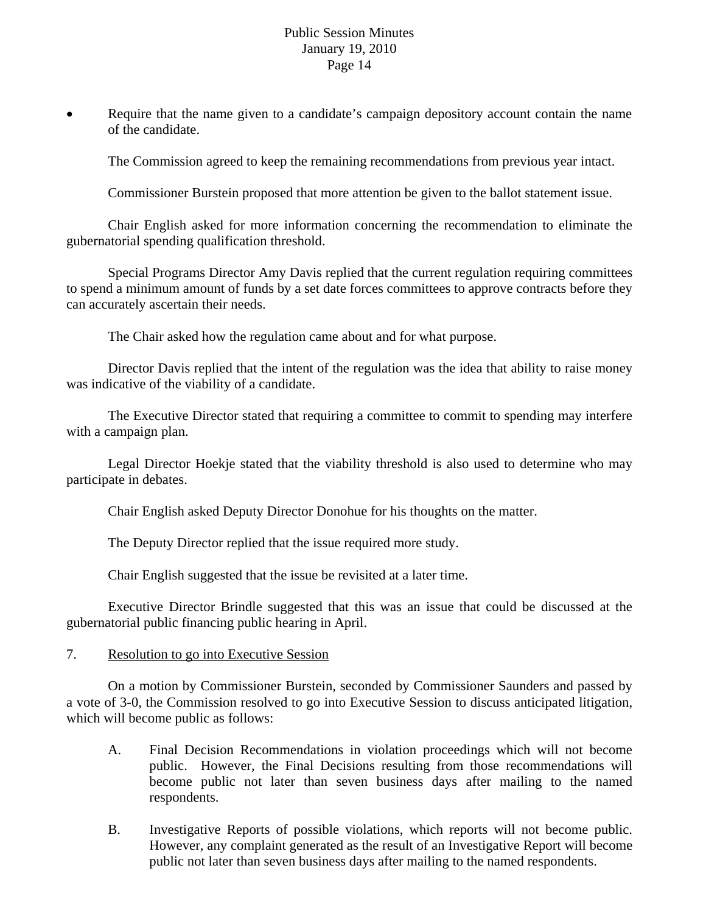Require that the name given to a candidate's campaign depository account contain the name of the candidate.

The Commission agreed to keep the remaining recommendations from previous year intact.

Commissioner Burstein proposed that more attention be given to the ballot statement issue.

 Chair English asked for more information concerning the recommendation to eliminate the gubernatorial spending qualification threshold.

 Special Programs Director Amy Davis replied that the current regulation requiring committees to spend a minimum amount of funds by a set date forces committees to approve contracts before they can accurately ascertain their needs.

The Chair asked how the regulation came about and for what purpose.

 Director Davis replied that the intent of the regulation was the idea that ability to raise money was indicative of the viability of a candidate.

 The Executive Director stated that requiring a committee to commit to spending may interfere with a campaign plan.

 Legal Director Hoekje stated that the viability threshold is also used to determine who may participate in debates.

Chair English asked Deputy Director Donohue for his thoughts on the matter.

The Deputy Director replied that the issue required more study.

Chair English suggested that the issue be revisited at a later time.

 Executive Director Brindle suggested that this was an issue that could be discussed at the gubernatorial public financing public hearing in April.

#### 7. Resolution to go into Executive Session

 On a motion by Commissioner Burstein, seconded by Commissioner Saunders and passed by a vote of 3-0, the Commission resolved to go into Executive Session to discuss anticipated litigation, which will become public as follows:

- A. Final Decision Recommendations in violation proceedings which will not become public. However, the Final Decisions resulting from those recommendations will become public not later than seven business days after mailing to the named respondents.
- B. Investigative Reports of possible violations, which reports will not become public. However, any complaint generated as the result of an Investigative Report will become public not later than seven business days after mailing to the named respondents.